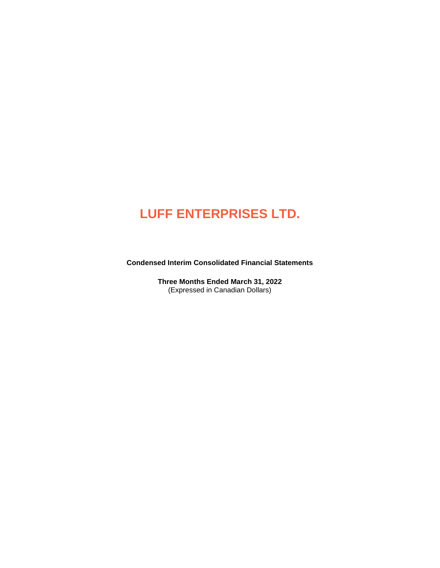**Condensed Interim Consolidated Financial Statements**

**Three Months Ended March 31, 2022**  (Expressed in Canadian Dollars)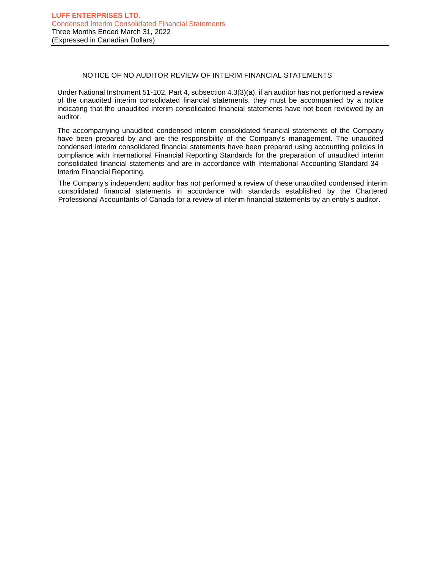# NOTICE OF NO AUDITOR REVIEW OF INTERIM FINANCIAL STATEMENTS

Under National Instrument 51-102, Part 4, subsection 4.3(3)(a), if an auditor has not performed a review of the unaudited interim consolidated financial statements, they must be accompanied by a notice indicating that the unaudited interim consolidated financial statements have not been reviewed by an auditor.

The accompanying unaudited condensed interim consolidated financial statements of the Company have been prepared by and are the responsibility of the Company's management. The unaudited condensed interim consolidated financial statements have been prepared using accounting policies in compliance with International Financial Reporting Standards for the preparation of unaudited interim consolidated financial statements and are in accordance with International Accounting Standard 34 - Interim Financial Reporting.

The Company's independent auditor has not performed a review of these unaudited condensed interim consolidated financial statements in accordance with standards established by the Chartered Professional Accountants of Canada for a review of interim financial statements by an entity's auditor.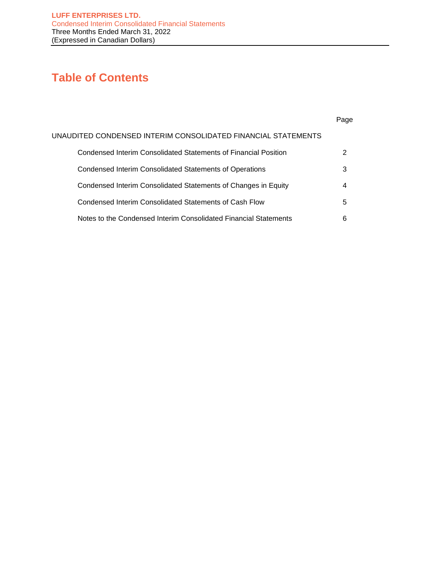# **Table of Contents**

|                                                                  | Page |
|------------------------------------------------------------------|------|
| UNAUDITED CONDENSED INTERIM CONSOLIDATED FINANCIAL STATEMENTS    |      |
| Condensed Interim Consolidated Statements of Financial Position  |      |
| Condensed Interim Consolidated Statements of Operations          | 3    |
| Condensed Interim Consolidated Statements of Changes in Equity   | 4    |
| Condensed Interim Consolidated Statements of Cash Flow           | 5    |
| Notes to the Condensed Interim Consolidated Financial Statements | 6    |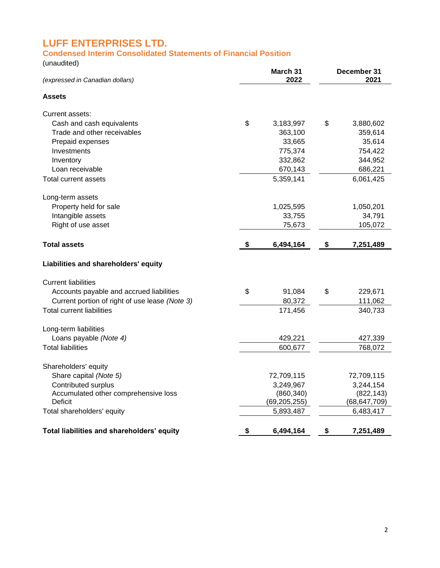# **Condensed Interim Consolidated Statements of Financial Position**

(unaudited)

| (expressed in Canadian dollars)                | March 31<br>2022 | December 31<br>2021 |
|------------------------------------------------|------------------|---------------------|
| <b>Assets</b>                                  |                  |                     |
| Current assets:                                |                  |                     |
| Cash and cash equivalents                      | \$<br>3,183,997  | \$<br>3,880,602     |
| Trade and other receivables                    | 363,100          | 359,614             |
| Prepaid expenses                               | 33,665           | 35,614              |
| Investments                                    | 775,374          | 754,422             |
| Inventory                                      | 332,862          | 344,952             |
| Loan receivable                                | 670,143          | 686,221             |
| Total current assets                           | 5,359,141        | 6,061,425           |
| Long-term assets                               |                  |                     |
| Property held for sale                         | 1,025,595        | 1,050,201           |
| Intangible assets                              | 33,755           | 34,791              |
| Right of use asset                             | 75,673           | 105,072             |
| <b>Total assets</b>                            | \$<br>6,494,164  | \$<br>7,251,489     |
| Liabilities and shareholders' equity           |                  |                     |
| <b>Current liabilities</b>                     |                  |                     |
| Accounts payable and accrued liabilities       | \$<br>91,084     | \$<br>229,671       |
| Current portion of right of use lease (Note 3) | 80,372           | 111,062             |
| <b>Total current liabilities</b>               | 171,456          | 340,733             |
| Long-term liabilities                          |                  |                     |
| Loans payable (Note 4)                         | 429,221          | 427,339             |
| <b>Total liabilities</b>                       | 600,677          | 768,072             |
| Shareholders' equity                           |                  |                     |
| Share capital (Note 5)                         | 72,709,115       | 72,709,115          |
| Contributed surplus                            | 3,249,967        | 3,244,154           |
| Accumulated other comprehensive loss           | (860, 340)       | (822, 143)          |
| <b>Deficit</b>                                 | (69, 205, 255)   | (68, 647, 709)      |
| Total shareholders' equity                     | 5,893,487        | 6,483,417           |
| Total liabilities and shareholders' equity     | \$<br>6,494,164  | \$<br>7,251,489     |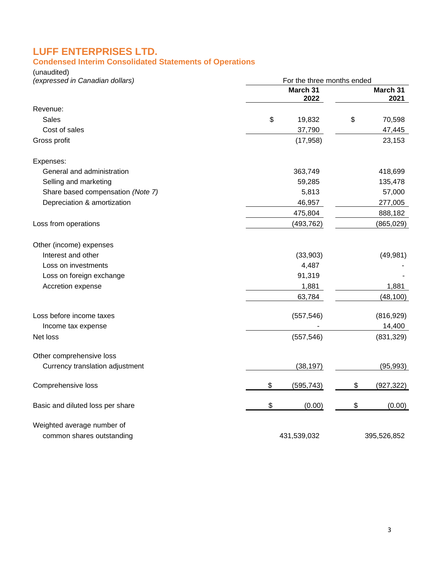# **Condensed Interim Consolidated Statements of Operations**

(unaudited)

| (expressed in Canadian dollars)   | For the three months ended |                  |
|-----------------------------------|----------------------------|------------------|
|                                   | March 31<br>2022           | March 31<br>2021 |
| Revenue:                          |                            |                  |
| Sales                             | \$<br>19,832               | \$<br>70,598     |
| Cost of sales                     | 37,790                     | 47,445           |
| Gross profit                      | (17, 958)                  | 23,153           |
| Expenses:                         |                            |                  |
| General and administration        | 363,749                    | 418,699          |
| Selling and marketing             | 59,285                     | 135,478          |
| Share based compensation (Note 7) | 5,813                      | 57,000           |
| Depreciation & amortization       | 46,957                     | 277,005          |
|                                   | 475,804                    | 888,182          |
| Loss from operations              | (493, 762)                 | (865, 029)       |
| Other (income) expenses           |                            |                  |
| Interest and other                | (33,903)                   | (49, 981)        |
| Loss on investments               | 4,487                      |                  |
| Loss on foreign exchange          | 91,319                     |                  |
| Accretion expense                 | 1,881                      | 1,881            |
|                                   | 63,784                     | (48, 100)        |
| Loss before income taxes          | (557, 546)                 | (816, 929)       |
| Income tax expense                |                            | 14,400           |
| Net loss                          | (557, 546)                 | (831, 329)       |
| Other comprehensive loss          |                            |                  |
| Currency translation adjustment   | (38, 197)                  | (95, 993)        |
| Comprehensive loss                | \$<br>(595, 743)           | \$<br>(927, 322) |
| Basic and diluted loss per share  | \$<br>(0.00)               | \$<br>(0.00)     |
| Weighted average number of        |                            |                  |
| common shares outstanding         | 431,539,032                | 395,526,852      |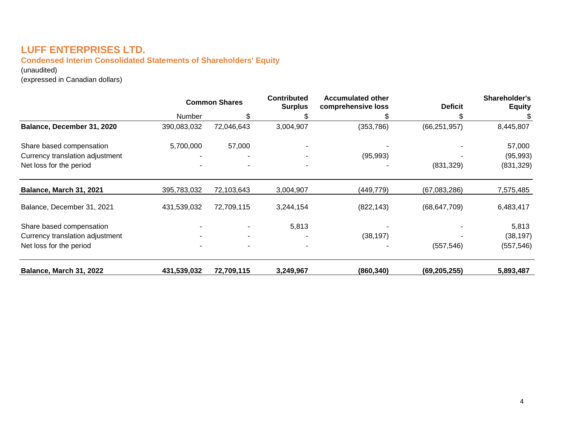# **Condensed Interim Consolidated Statements of Shareholders' Equity**

(unaudited)

(expressed in Canadian dollars)

|                                 |               | <b>Common Shares</b> | <b>Contributed</b><br><b>Surplus</b> | <b>Accumulated other</b><br>comprehensive loss | <b>Deficit</b> | Shareholder's<br><b>Equity</b> |
|---------------------------------|---------------|----------------------|--------------------------------------|------------------------------------------------|----------------|--------------------------------|
|                                 | <b>Number</b> | \$.                  |                                      |                                                |                | S                              |
| Balance, December 31, 2020      | 390,083,032   | 72,046,643           | 3,004,907                            | (353, 786)                                     | (66, 251, 957) | 8,445,807                      |
| Share based compensation        | 5,700,000     | 57,000               |                                      |                                                |                | 57,000                         |
| Currency translation adjustment |               |                      |                                      | (95, 993)                                      |                | (95, 993)                      |
| Net loss for the period         |               |                      |                                      |                                                | (831, 329)     | (831, 329)                     |
| Balance, March 31, 2021         | 395,783,032   | 72,103,643           | 3,004,907                            | (449, 779)                                     | (67,083,286)   | 7,575,485                      |
| Balance, December 31, 2021      | 431,539,032   | 72,709,115           | 3,244,154                            | (822, 143)                                     | (68, 647, 709) | 6,483,417                      |
| Share based compensation        |               |                      | 5,813                                |                                                |                | 5,813                          |
| Currency translation adjustment |               | ۰                    |                                      | (38, 197)                                      |                | (38, 197)                      |
| Net loss for the period         |               |                      |                                      |                                                | (557, 546)     | (557, 546)                     |
| <b>Balance, March 31, 2022</b>  | 431,539,032   | 72,709,115           | 3,249,967                            | (860, 340)                                     | (69, 205, 255) | 5,893,487                      |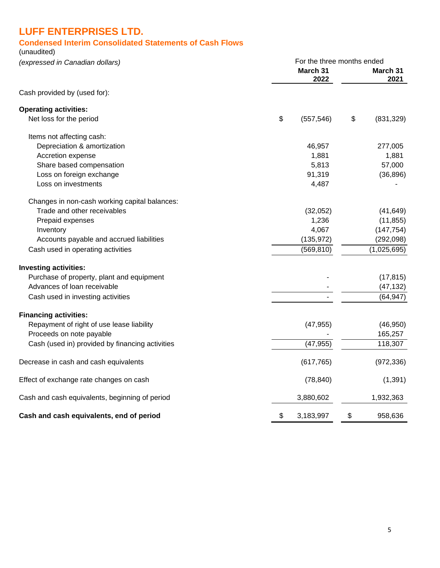# **Condensed Interim Consolidated Statements of Cash Flows**

(unaudited)

| (expressed in Canadian dollars)                 |    | For the three months ended |    |                  |
|-------------------------------------------------|----|----------------------------|----|------------------|
|                                                 |    | March 31<br>2022           |    | March 31<br>2021 |
| Cash provided by (used for):                    |    |                            |    |                  |
| <b>Operating activities:</b>                    |    |                            |    |                  |
| Net loss for the period                         | \$ | (557, 546)                 | \$ | (831, 329)       |
| Items not affecting cash:                       |    |                            |    |                  |
| Depreciation & amortization                     |    | 46,957                     |    | 277,005          |
| Accretion expense                               |    | 1,881                      |    | 1,881            |
| Share based compensation                        |    | 5,813                      |    | 57,000           |
| Loss on foreign exchange                        |    | 91,319                     |    | (36, 896)        |
| Loss on investments                             |    | 4,487                      |    |                  |
| Changes in non-cash working capital balances:   |    |                            |    |                  |
| Trade and other receivables                     |    | (32,052)                   |    | (41, 649)        |
| Prepaid expenses                                |    | 1,236                      |    | (11, 855)        |
| Inventory                                       |    | 4,067                      |    | (147, 754)       |
| Accounts payable and accrued liabilities        |    | (135, 972)                 |    | (292, 098)       |
| Cash used in operating activities               |    | (569, 810)                 |    | (1,025,695)      |
| <b>Investing activities:</b>                    |    |                            |    |                  |
| Purchase of property, plant and equipment       |    |                            |    | (17, 815)        |
| Advances of loan receivable                     |    |                            |    | (47, 132)        |
| Cash used in investing activities               |    |                            |    | (64, 947)        |
| <b>Financing activities:</b>                    |    |                            |    |                  |
| Repayment of right of use lease liability       |    | (47, 955)                  |    | (46, 950)        |
| Proceeds on note payable                        |    |                            |    | 165,257          |
| Cash (used in) provided by financing activities |    | (47, 955)                  |    | 118,307          |
| Decrease in cash and cash equivalents           |    | (617, 765)                 |    | (972, 336)       |
| Effect of exchange rate changes on cash         |    | (78, 840)                  |    | (1, 391)         |
| Cash and cash equivalents, beginning of period  |    | 3,880,602                  |    | 1,932,363        |
| Cash and cash equivalents, end of period        | \$ | 3,183,997                  | \$ | 958,636          |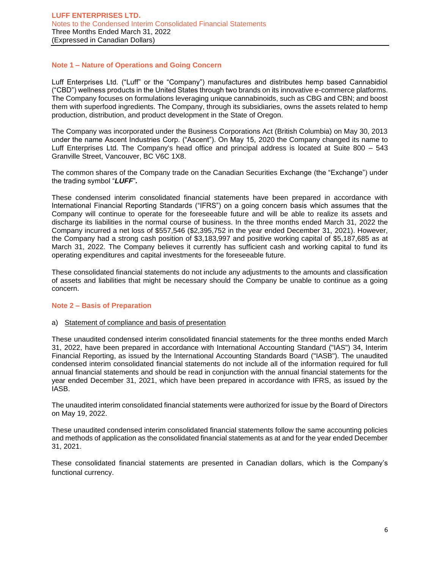# **Note 1 – Nature of Operations and Going Concern**

Luff Enterprises Ltd. ("Luff" or the "Company") manufactures and distributes hemp based Cannabidiol ("CBD") wellness products in the United States through two brands on its innovative e-commerce platforms. The Company focuses on formulations leveraging unique cannabinoids, such as CBG and CBN; and boost them with superfood ingredients. The Company, through its subsidiaries, owns the assets related to hemp production, distribution, and product development in the State of Oregon.

The Company was incorporated under the Business Corporations Act (British Columbia) on May 30, 2013 under the name Ascent Industries Corp. ("Ascent"). On May 15, 2020 the Company changed its name to Luff Enterprises Ltd. The Company's head office and principal address is located at Suite 800 – 543 Granville Street, Vancouver, BC V6C 1X8.

The common shares of the Company trade on the Canadian Securities Exchange (the "Exchange") under the trading symbol "*LUFF*"*.*

These condensed interim consolidated financial statements have been prepared in accordance with International Financial Reporting Standards ("IFRS") on a going concern basis which assumes that the Company will continue to operate for the foreseeable future and will be able to realize its assets and discharge its liabilities in the normal course of business. In the three months ended March 31, 2022 the Company incurred a net loss of \$557,546 (\$2,395,752 in the year ended December 31, 2021). However, the Company had a strong cash position of \$3,183,997 and positive working capital of \$5,187,685 as at March 31, 2022. The Company believes it currently has sufficient cash and working capital to fund its operating expenditures and capital investments for the foreseeable future.

These consolidated financial statements do not include any adjustments to the amounts and classification of assets and liabilities that might be necessary should the Company be unable to continue as a going concern.

### **Note 2 – Basis of Preparation**

### a) Statement of compliance and basis of presentation

These unaudited condensed interim consolidated financial statements for the three months ended March 31, 2022, have been prepared in accordance with International Accounting Standard ("IAS") 34, Interim Financial Reporting, as issued by the International Accounting Standards Board ("IASB"). The unaudited condensed interim consolidated financial statements do not include all of the information required for full annual financial statements and should be read in conjunction with the annual financial statements for the year ended December 31, 2021, which have been prepared in accordance with IFRS, as issued by the IASB.

The unaudited interim consolidated financial statements were authorized for issue by the Board of Directors on May 19, 2022.

These unaudited condensed interim consolidated financial statements follow the same accounting policies and methods of application as the consolidated financial statements as at and for the year ended December 31, 2021.

These consolidated financial statements are presented in Canadian dollars, which is the Company's functional currency.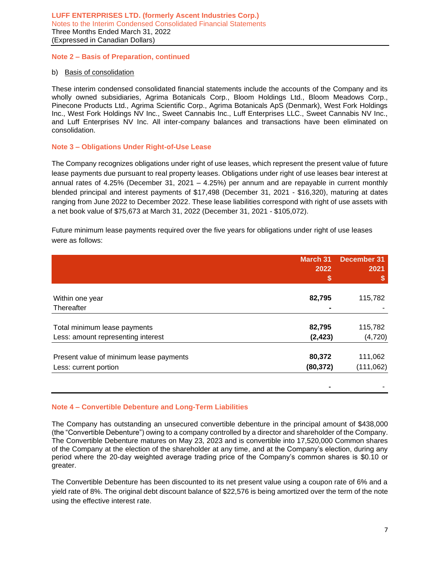# **Note 2 – Basis of Preparation, continued**

### b) Basis of consolidation

These interim condensed consolidated financial statements include the accounts of the Company and its wholly owned subsidiaries, Agrima Botanicals Corp., Bloom Holdings Ltd., Bloom Meadows Corp., Pinecone Products Ltd., Agrima Scientific Corp., Agrima Botanicals ApS (Denmark), West Fork Holdings Inc., West Fork Holdings NV Inc., Sweet Cannabis Inc., Luff Enterprises LLC., Sweet Cannabis NV Inc., and Luff Enterprises NV Inc. All inter-company balances and transactions have been eliminated on consolidation.

# **Note 3 – Obligations Under Right-of-Use Lease**

The Company recognizes obligations under right of use leases, which represent the present value of future lease payments due pursuant to real property leases. Obligations under right of use leases bear interest at annual rates of 4.25% (December 31, 2021 – 4.25%) per annum and are repayable in current monthly blended principal and interest payments of \$17,498 (December 31, 2021 - \$16,320), maturing at dates ranging from June 2022 to December 2022. These lease liabilities correspond with right of use assets with a net book value of \$75,673 at March 31, 2022 (December 31, 2021 - \$105,072).

Future minimum lease payments required over the five years for obligations under right of use leases were as follows:

|                                         | <b>March 31</b> | <b>December 31</b> |
|-----------------------------------------|-----------------|--------------------|
|                                         | 2022            | 2021               |
|                                         |                 |                    |
|                                         |                 |                    |
| Within one year                         | 82,795          | 115,782            |
| Thereafter                              |                 |                    |
| Total minimum lease payments            | 82,795          | 115,782            |
| Less: amount representing interest      | (2, 423)        | (4, 720)           |
| Present value of minimum lease payments | 80,372          | 111,062            |
| Less: current portion                   | (80, 372)       | (111, 062)         |
|                                         |                 |                    |
|                                         |                 |                    |

### **Note 4 – Convertible Debenture and Long-Term Liabilities**

The Company has outstanding an unsecured convertible debenture in the principal amount of \$438,000 (the "Convertible Debenture") owing to a company controlled by a director and shareholder of the Company. The Convertible Debenture matures on May 23, 2023 and is convertible into 17,520,000 Common shares of the Company at the election of the shareholder at any time, and at the Company's election, during any period where the 20-day weighted average trading price of the Company's common shares is \$0.10 or greater.

The Convertible Debenture has been discounted to its net present value using a coupon rate of 6% and a yield rate of 8%. The original debt discount balance of \$22,576 is being amortized over the term of the note using the effective interest rate.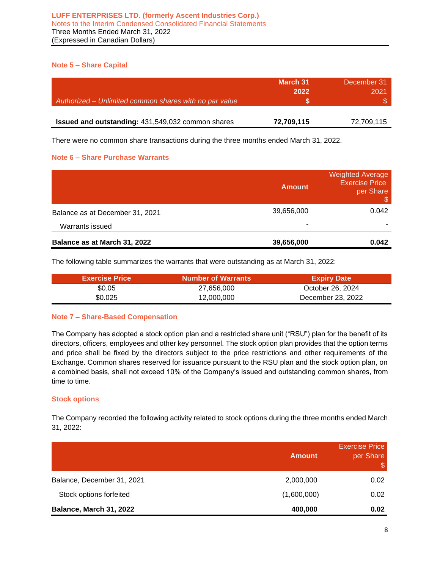# **Note 5 – Share Capital**

| Authorized - Unlimited common shares with no par value | March 31<br>2022 | December 31<br>2021 |
|--------------------------------------------------------|------------------|---------------------|
| Issued and outstanding: 431,549,032 common shares      | 72,709,115       | 72,709,115          |

There were no common share transactions during the three months ended March 31, 2022.

# **Note 6 – Share Purchase Warrants**

|                                 | <b>Amount</b> | <b>Weighted Average</b><br><b>Exercise Price</b><br>per Share<br>S |
|---------------------------------|---------------|--------------------------------------------------------------------|
| Balance as at December 31, 2021 | 39,656,000    | 0.042                                                              |
| Warrants issued                 | ۰             |                                                                    |
| Balance as at March 31, 2022    | 39,656,000    | 0.042                                                              |

The following table summarizes the warrants that were outstanding as at March 31, 2022:

| <b>Exercise Price</b> | <b>Number of Warrants</b> | <b>Expiry Date</b> |
|-----------------------|---------------------------|--------------------|
| \$0.05                | 27,656,000                | October 26, 2024   |
| \$0.025               | 12,000,000                | December 23, 2022  |

# **Note 7 – Share-Based Compensation**

The Company has adopted a stock option plan and a restricted share unit ("RSU") plan for the benefit of its directors, officers, employees and other key personnel. The stock option plan provides that the option terms and price shall be fixed by the directors subject to the price restrictions and other requirements of the Exchange. Common shares reserved for issuance pursuant to the RSU plan and the stock option plan, on a combined basis, shall not exceed 10% of the Company's issued and outstanding common shares, from time to time.

# **Stock options**

The Company recorded the following activity related to stock options during the three months ended March 31, 2022:

|                            | <b>Amount</b> | <b>Exercise Price</b><br>per Share<br>\$ |
|----------------------------|---------------|------------------------------------------|
| Balance, December 31, 2021 | 2,000,000     | 0.02                                     |
| Stock options forfeited    | (1,600,000)   | 0.02                                     |
| Balance, March 31, 2022    | 400,000       | 0.02                                     |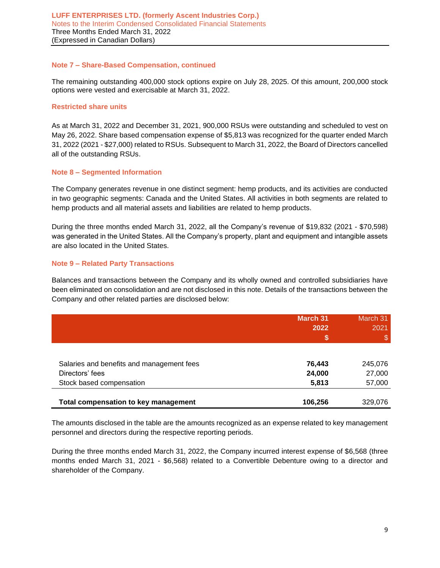## **Note 7 – Share-Based Compensation, continued**

The remaining outstanding 400,000 stock options expire on July 28, 2025. Of this amount, 200,000 stock options were vested and exercisable at March 31, 2022.

## **Restricted share units**

As at March 31, 2022 and December 31, 2021, 900,000 RSUs were outstanding and scheduled to vest on May 26, 2022. Share based compensation expense of \$5,813 was recognized for the quarter ended March 31, 2022 (2021 - \$27,000) related to RSUs. Subsequent to March 31, 2022, the Board of Directors cancelled all of the outstanding RSUs.

# **Note 8 – Segmented Information**

The Company generates revenue in one distinct segment: hemp products, and its activities are conducted in two geographic segments: Canada and the United States. All activities in both segments are related to hemp products and all material assets and liabilities are related to hemp products.

During the three months ended March 31, 2022, all the Company's revenue of \$19,832 (2021 - \$70,598) was generated in the United States. All the Company's property, plant and equipment and intangible assets are also located in the United States.

# **Note 9 – Related Party Transactions**

Balances and transactions between the Company and its wholly owned and controlled subsidiaries have been eliminated on consolidation and are not disclosed in this note. Details of the transactions between the Company and other related parties are disclosed below:

|                                             | <b>March 31</b><br>2022<br>\$ | March 31<br>2021<br>\$ |
|---------------------------------------------|-------------------------------|------------------------|
|                                             |                               |                        |
| Salaries and benefits and management fees   | 76,443                        | 245,076                |
| Directors' fees                             | 24,000                        | 27,000                 |
| Stock based compensation                    | 5,813                         | 57,000                 |
| <b>Total compensation to key management</b> | 106,256                       | 329,076                |

The amounts disclosed in the table are the amounts recognized as an expense related to key management personnel and directors during the respective reporting periods.

During the three months ended March 31, 2022, the Company incurred interest expense of \$6,568 (three months ended March 31, 2021 - \$6,568) related to a Convertible Debenture owing to a director and shareholder of the Company.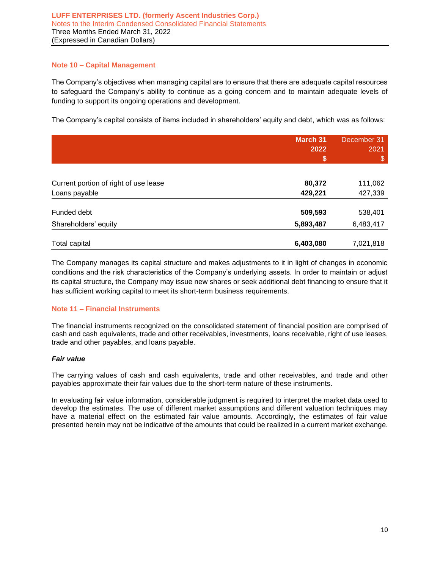# **Note 10 – Capital Management**

The Company's objectives when managing capital are to ensure that there are adequate capital resources to safeguard the Company's ability to continue as a going concern and to maintain adequate levels of funding to support its ongoing operations and development.

The Company's capital consists of items included in shareholders' equity and debt, which was as follows:

|                                       | <b>March 31</b><br>2022 | December 31<br>2021 |
|---------------------------------------|-------------------------|---------------------|
|                                       | \$                      | \$                  |
| Current portion of right of use lease | 80,372                  | 111,062             |
| Loans payable                         | 429,221                 | 427,339             |
| Funded debt                           | 509,593                 | 538,401             |
| Shareholders' equity                  | 5,893,487               | 6,483,417           |
| Total capital                         | 6,403,080               | 7,021,818           |

The Company manages its capital structure and makes adjustments to it in light of changes in economic conditions and the risk characteristics of the Company's underlying assets. In order to maintain or adjust its capital structure, the Company may issue new shares or seek additional debt financing to ensure that it has sufficient working capital to meet its short-term business requirements.

# **Note 11 – Financial Instruments**

The financial instruments recognized on the consolidated statement of financial position are comprised of cash and cash equivalents, trade and other receivables, investments, loans receivable, right of use leases, trade and other payables, and loans payable.

### *Fair value*

The carrying values of cash and cash equivalents, trade and other receivables, and trade and other payables approximate their fair values due to the short-term nature of these instruments.

In evaluating fair value information, considerable judgment is required to interpret the market data used to develop the estimates. The use of different market assumptions and different valuation techniques may have a material effect on the estimated fair value amounts. Accordingly, the estimates of fair value presented herein may not be indicative of the amounts that could be realized in a current market exchange.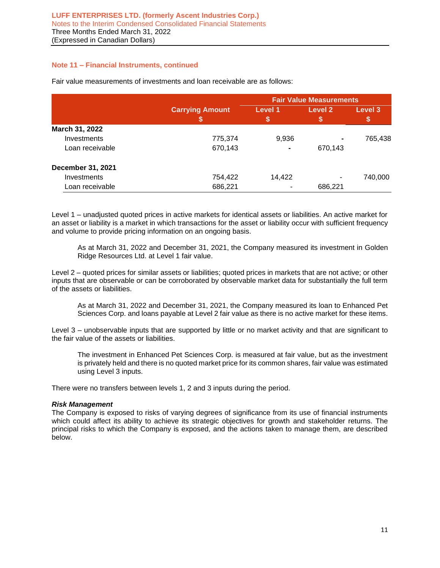# **Note 11 – Financial Instruments, continued**

|                          |                             | <b>Fair Value Measurements</b> |              |               |
|--------------------------|-----------------------------|--------------------------------|--------------|---------------|
|                          | <b>Carrying Amount</b><br>ъ | Level 1<br>\$                  | Level 2<br>S | Level 3<br>\$ |
| March 31, 2022           |                             |                                |              |               |
| Investments              | 775,374                     | 9,936                          |              | 765,438       |
| Loan receivable          | 670,143                     |                                | 670,143      |               |
| <b>December 31, 2021</b> |                             |                                |              |               |
| Investments              | 754,422                     | 14,422                         | ۰            | 740,000       |
| Loan receivable          | 686,221                     |                                | 686,221      |               |

Fair value measurements of investments and loan receivable are as follows:

Level 1 – unadjusted quoted prices in active markets for identical assets or liabilities. An active market for an asset or liability is a market in which transactions for the asset or liability occur with sufficient frequency and volume to provide pricing information on an ongoing basis.

As at March 31, 2022 and December 31, 2021, the Company measured its investment in Golden Ridge Resources Ltd. at Level 1 fair value.

Level 2 – quoted prices for similar assets or liabilities; quoted prices in markets that are not active; or other inputs that are observable or can be corroborated by observable market data for substantially the full term of the assets or liabilities.

As at March 31, 2022 and December 31, 2021, the Company measured its loan to Enhanced Pet Sciences Corp. and loans payable at Level 2 fair value as there is no active market for these items.

Level 3 – unobservable inputs that are supported by little or no market activity and that are significant to the fair value of the assets or liabilities.

The investment in Enhanced Pet Sciences Corp. is measured at fair value, but as the investment is privately held and there is no quoted market price for its common shares, fair value was estimated using Level 3 inputs.

There were no transfers between levels 1, 2 and 3 inputs during the period.

### *Risk Management*

The Company is exposed to risks of varying degrees of significance from its use of financial instruments which could affect its ability to achieve its strategic objectives for growth and stakeholder returns. The principal risks to which the Company is exposed, and the actions taken to manage them, are described below.